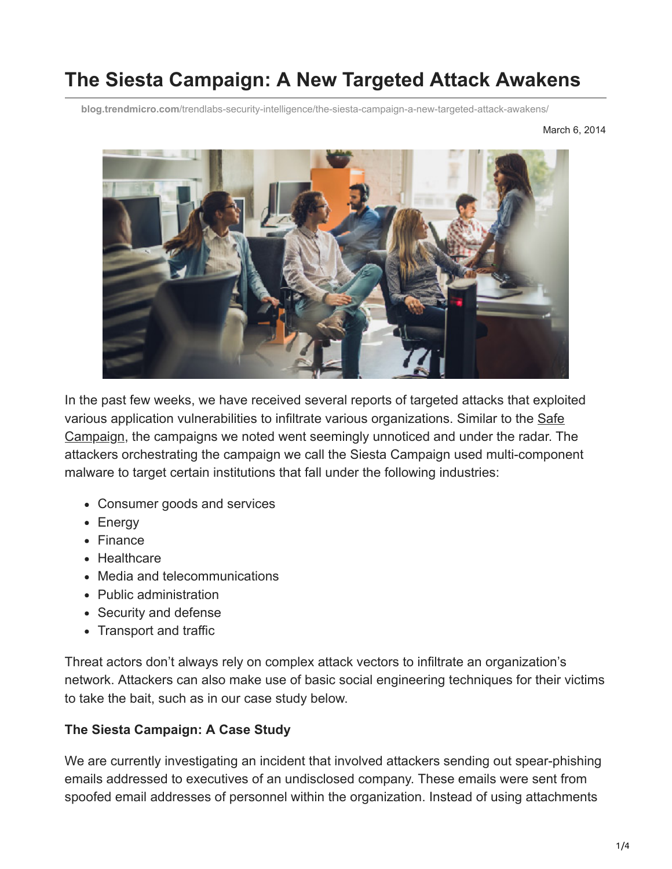# **The Siesta Campaign: A New Targeted Attack Awakens**

**blog.trendmicro.com**[/trendlabs-security-intelligence/the-siesta-campaign-a-new-targeted-attack-awakens/](https://blog.trendmicro.com/trendlabs-security-intelligence/the-siesta-campaign-a-new-targeted-attack-awakens/)

March 6, 2014



In the past few weeks, we have received several reports of targeted attacks that exploited [various application vulnerabilities to infiltrate various organizations. Similar to the Safe](http://blog.trendmicro.com/trendlabs-security-intelligence/hiding-in-plain-sight-a-new-apt-campaign/) Campaign, the campaigns we noted went seemingly unnoticed and under the radar. The attackers orchestrating the campaign we call the Siesta Campaign used multi-component malware to target certain institutions that fall under the following industries:

- Consumer goods and services
- Energy
- Finance
- Healthcare
- Media and telecommunications
- Public administration
- Security and defense
- Transport and traffic

Threat actors don't always rely on complex attack vectors to infiltrate an organization's network. Attackers can also make use of basic social engineering techniques for their victims to take the bait, such as in our case study below.

#### **The Siesta Campaign: A Case Study**

We are currently investigating an incident that involved attackers sending out spear-phishing emails addressed to executives of an undisclosed company. These emails were sent from spoofed email addresses of personnel within the organization. Instead of using attachments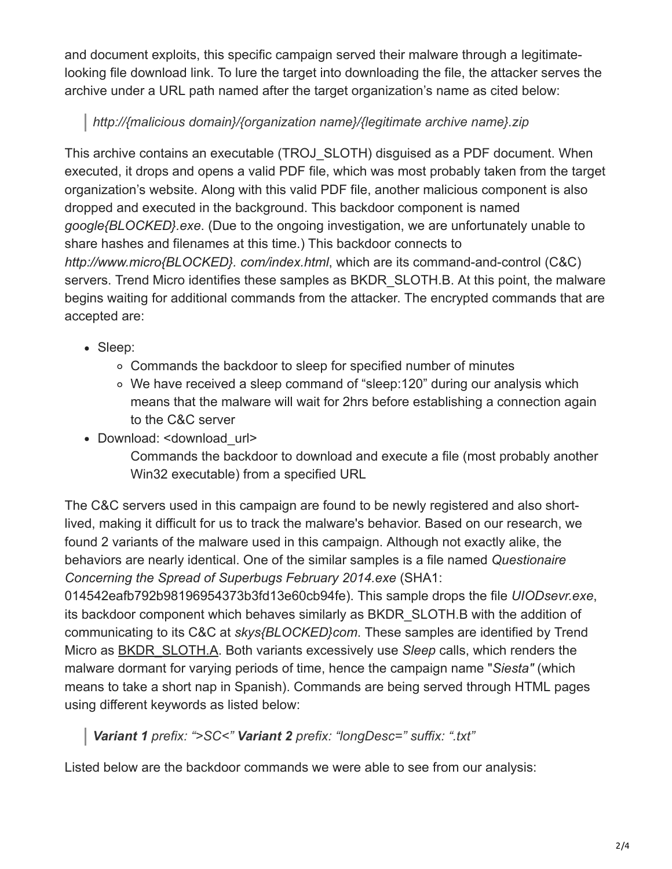and document exploits, this specific campaign served their malware through a legitimatelooking file download link. To lure the target into downloading the file, the attacker serves the archive under a URL path named after the target organization's name as cited below:

# *http://{malicious domain}/{organization name}/{legitimate archive name}.zip*

This archive contains an executable (TROJ\_SLOTH) disguised as a PDF document. When executed, it drops and opens a valid PDF file, which was most probably taken from the target organization's website. Along with this valid PDF file, another malicious component is also dropped and executed in the background. This backdoor component is named *google{BLOCKED}.exe*. (Due to the ongoing investigation, we are unfortunately unable to share hashes and filenames at this time.) This backdoor connects to *http://www.micro{BLOCKED}. com/index.html*, which are its command-and-control (C&C) servers. Trend Micro identifies these samples as BKDR SLOTH.B. At this point, the malware begins waiting for additional commands from the attacker. The encrypted commands that are accepted are:

- Sleep:
	- Commands the backdoor to sleep for specified number of minutes
	- We have received a sleep command of "sleep:120" during our analysis which means that the malware will wait for 2hrs before establishing a connection again to the C&C server
- Download: <download\_url>

Commands the backdoor to download and execute a file (most probably another Win32 executable) from a specified URL

The C&C servers used in this campaign are found to be newly registered and also shortlived, making it difficult for us to track the malware's behavior. Based on our research, we found 2 variants of the malware used in this campaign. Although not exactly alike, the behaviors are nearly identical. One of the similar samples is a file named *Questionaire Concerning the Spread of Superbugs February 2014.exe* (SHA1:

014542eafb792b98196954373b3fd13e60cb94fe). This sample drops the file *UIODsevr.exe*, its backdoor component which behaves similarly as BKDR\_SLOTH.B with the addition of communicating to its C&C at *skys{BLOCKED}com*. These samples are identified by Trend Micro as [BKDR\\_SLOTH.A](http://about-threats.trendmicro.com/us/malware/BKDR_SLOTH.A). Both variants excessively use *Sleep* calls, which renders the malware dormant for varying periods of time, hence the campaign name "*Siesta"* (which means to take a short nap in Spanish). Commands are being served through HTML pages using different keywords as listed below:

# *Variant 1 prefix: ">SC<" Variant 2 prefix: "longDesc=" suffix: ".txt"*

Listed below are the backdoor commands we were able to see from our analysis: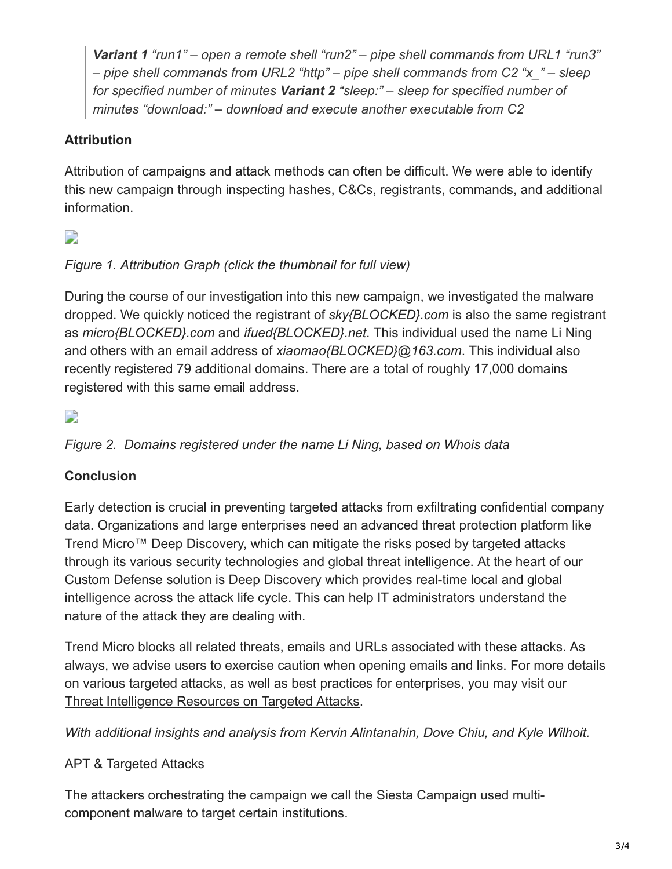*Variant 1 "run1" – open a remote shell "run2" – pipe shell commands from URL1 "run3" – pipe shell commands from URL2 "http" – pipe shell commands from C2 "x\_" – sleep for specified number of minutes Variant 2 "sleep:" – sleep for specified number of minutes "download:" – download and execute another executable from C2*

## **Attribution**

Attribution of campaigns and attack methods can often be difficult. We were able to identify this new campaign through inspecting hashes, C&Cs, registrants, commands, and additional information.

# $\overline{\phantom{a}}$

## *Figure 1. Attribution Graph (click the thumbnail for full view)*

During the course of our investigation into this new campaign, we investigated the malware dropped. We quickly noticed the registrant of *sky{BLOCKED}.com* is also the same registrant as *micro{BLOCKED}.com* and *ifued{BLOCKED}.net*. This individual used the name Li Ning and others with an email address of *xiaomao{BLOCKED}@163.com*. This individual also recently registered 79 additional domains. There are a total of roughly 17,000 domains registered with this same email address.

## $\overline{\phantom{a}}$

### *Figure 2. Domains registered under the name Li Ning, based on Whois data*

### **Conclusion**

Early detection is crucial in preventing targeted attacks from exfiltrating confidential company data. Organizations and large enterprises need an advanced threat protection platform like Trend Micro™ Deep Discovery, which can mitigate the risks posed by targeted attacks through its various security technologies and global threat intelligence. At the heart of our Custom Defense solution is Deep Discovery which provides real-time local and global intelligence across the attack life cycle. This can help IT administrators understand the nature of the attack they are dealing with.

Trend Micro blocks all related threats, emails and URLs associated with these attacks. As always, we advise users to exercise caution when opening emails and links. For more details on various targeted attacks, as well as best practices for enterprises, you may visit our [Threat Intelligence Resources on Targeted Attacks.](http://about-threats.trendmicro.com/us/threat-intelligence/targeted-attacks/)

*With additional insights and analysis from Kervin Alintanahin, Dove Chiu, and Kyle Wilhoit.*

### APT & Targeted Attacks

The attackers orchestrating the campaign we call the Siesta Campaign used multicomponent malware to target certain institutions.